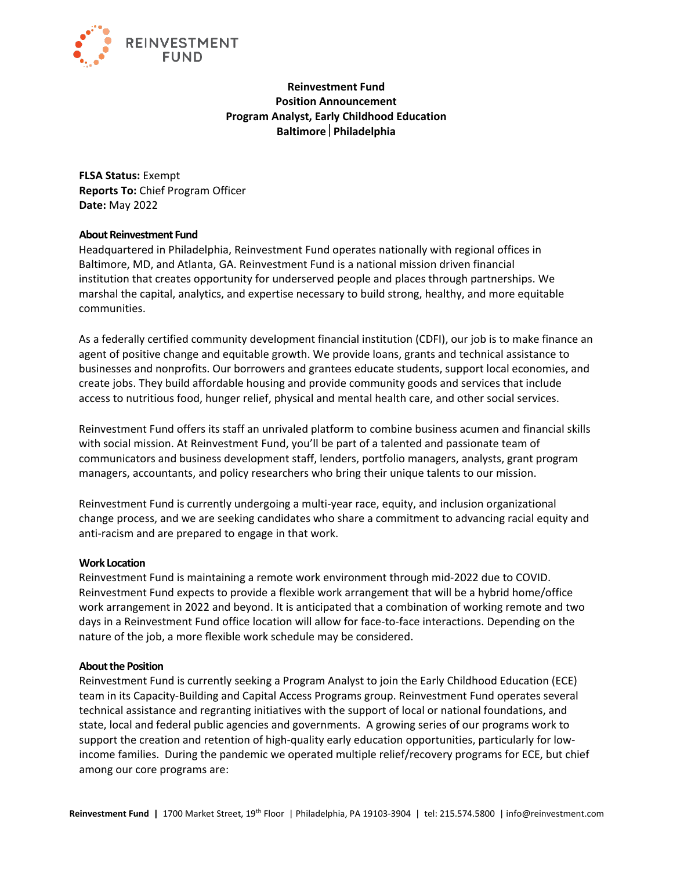

# **Reinvestment Fund Position Announcement Program Analyst, Early Childhood Education Baltimore Philadelphia**

**FLSA Status:** Exempt **Reports To:** Chief Program Officer **Date:** May 2022

#### **About Reinvestment Fund**

Headquartered in Philadelphia, Reinvestment Fund operates nationally with regional offices in Baltimore, MD, and Atlanta, GA. Reinvestment Fund is a national mission driven financial institution that creates opportunity for underserved people and places through partnerships. We marshal the capital, analytics, and expertise necessary to build strong, healthy, and more equitable communities.

As a federally certified community development financial institution (CDFI), our job is to make finance an agent of positive change and equitable growth. We provide loans, grants and technical assistance to businesses and nonprofits. Our borrowers and grantees educate students, support local economies, and create jobs. They build affordable housing and provide community goods and services that include access to nutritious food, hunger relief, physical and mental health care, and other social services.

Reinvestment Fund offers its staff an unrivaled platform to combine business acumen and financial skills with social mission. At Reinvestment Fund, you'll be part of a talented and passionate team of communicators and business development staff, lenders, portfolio managers, analysts, grant program managers, accountants, and policy researchers who bring their unique talents to our mission.

Reinvestment Fund is currently undergoing a multi-year race, equity, and inclusion organizational change process, and we are seeking candidates who share a commitment to advancing racial equity and anti-racism and are prepared to engage in that work.

#### **Work Location**

Reinvestment Fund is maintaining a remote work environment through mid-2022 due to COVID. Reinvestment Fund expects to provide a flexible work arrangement that will be a hybrid home/office work arrangement in 2022 and beyond. It is anticipated that a combination of working remote and two days in a Reinvestment Fund office location will allow for face-to-face interactions. Depending on the nature of the job, a more flexible work schedule may be considered.

#### **About the Position**

Reinvestment Fund is currently seeking a Program Analyst to join the Early Childhood Education (ECE) team in its Capacity-Building and Capital Access Programs group. Reinvestment Fund operates several technical assistance and regranting initiatives with the support of local or national foundations, and state, local and federal public agencies and governments. A growing series of our programs work to support the creation and retention of high-quality early education opportunities, particularly for lowincome families. During the pandemic we operated multiple relief/recovery programs for ECE, but chief among our core programs are: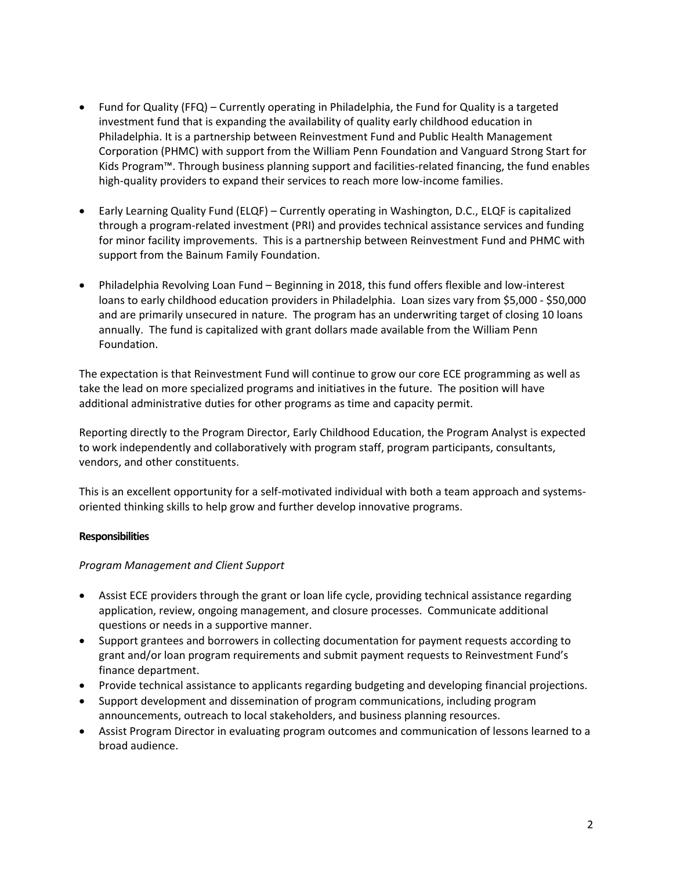- Fund for Quality (FFQ) Currently operating in Philadelphia, the Fund for Quality is a targeted investment fund that is expanding the availability of quality early childhood education in Philadelphia. It is a partnership between Reinvestment Fund and Public Health Management Corporation (PHMC) with support from the William Penn Foundation and Vanguard Strong Start for Kids Program™. Through business planning support and facilities-related financing, the fund enables high-quality providers to expand their services to reach more low-income families.
- Early Learning Quality Fund (ELQF) Currently operating in Washington, D.C., ELQF is capitalized through a program-related investment (PRI) and provides technical assistance services and funding for minor facility improvements. This is a partnership between Reinvestment Fund and PHMC with support from the Bainum Family Foundation.
- Philadelphia Revolving Loan Fund Beginning in 2018, this fund offers flexible and low-interest loans to early childhood education providers in Philadelphia. Loan sizes vary from \$5,000 - \$50,000 and are primarily unsecured in nature. The program has an underwriting target of closing 10 loans annually. The fund is capitalized with grant dollars made available from the William Penn Foundation.

The expectation is that Reinvestment Fund will continue to grow our core ECE programming as well as take the lead on more specialized programs and initiatives in the future. The position will have additional administrative duties for other programs as time and capacity permit.

Reporting directly to the Program Director, Early Childhood Education, the Program Analyst is expected to work independently and collaboratively with program staff, program participants, consultants, vendors, and other constituents.

This is an excellent opportunity for a self-motivated individual with both a team approach and systemsoriented thinking skills to help grow and further develop innovative programs.

# **Responsibilities**

# *Program Management and Client Support*

- Assist ECE providers through the grant or loan life cycle, providing technical assistance regarding application, review, ongoing management, and closure processes. Communicate additional questions or needs in a supportive manner.
- Support grantees and borrowers in collecting documentation for payment requests according to grant and/or loan program requirements and submit payment requests to Reinvestment Fund's finance department.
- Provide technical assistance to applicants regarding budgeting and developing financial projections.
- Support development and dissemination of program communications, including program announcements, outreach to local stakeholders, and business planning resources.
- Assist Program Director in evaluating program outcomes and communication of lessons learned to a broad audience.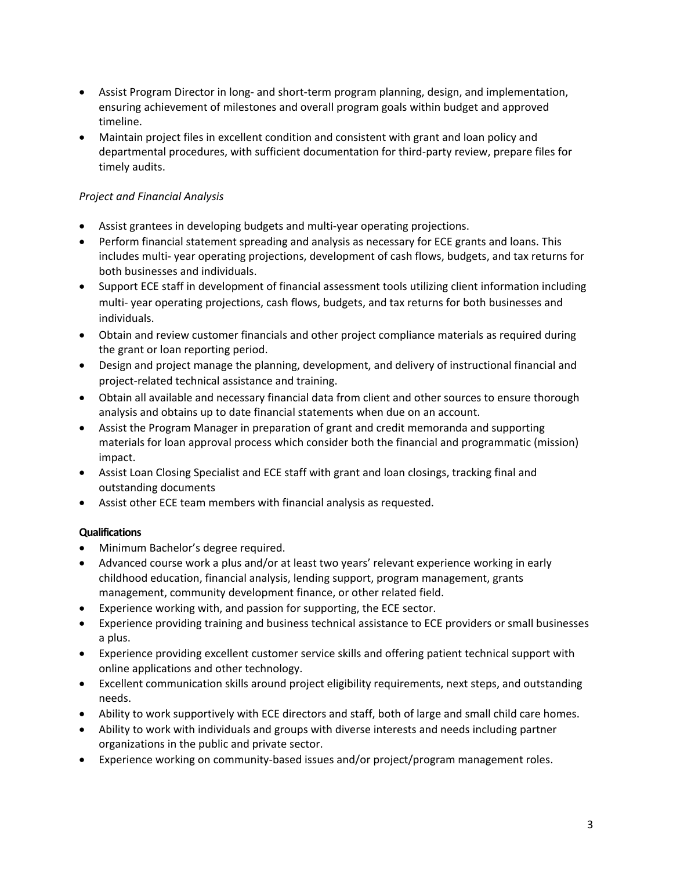- Assist Program Director in long- and short-term program planning, design, and implementation, ensuring achievement of milestones and overall program goals within budget and approved timeline.
- Maintain project files in excellent condition and consistent with grant and loan policy and departmental procedures, with sufficient documentation for third-party review, prepare files for timely audits.

# *Project and Financial Analysis*

- Assist grantees in developing budgets and multi-year operating projections.
- Perform financial statement spreading and analysis as necessary for ECE grants and loans. This includes multi- year operating projections, development of cash flows, budgets, and tax returns for both businesses and individuals.
- Support ECE staff in development of financial assessment tools utilizing client information including multi- year operating projections, cash flows, budgets, and tax returns for both businesses and individuals.
- Obtain and review customer financials and other project compliance materials as required during the grant or loan reporting period.
- Design and project manage the planning, development, and delivery of instructional financial and project-related technical assistance and training.
- Obtain all available and necessary financial data from client and other sources to ensure thorough analysis and obtains up to date financial statements when due on an account.
- Assist the Program Manager in preparation of grant and credit memoranda and supporting materials for loan approval process which consider both the financial and programmatic (mission) impact.
- Assist Loan Closing Specialist and ECE staff with grant and loan closings, tracking final and outstanding documents
- Assist other ECE team members with financial analysis as requested.

# **Qualifications**

- Minimum Bachelor's degree required.
- Advanced course work a plus and/or at least two years' relevant experience working in early childhood education, financial analysis, lending support, program management, grants management, community development finance, or other related field.
- Experience working with, and passion for supporting, the ECE sector.
- Experience providing training and business technical assistance to ECE providers or small businesses a plus.
- Experience providing excellent customer service skills and offering patient technical support with online applications and other technology.
- Excellent communication skills around project eligibility requirements, next steps, and outstanding needs.
- Ability to work supportively with ECE directors and staff, both of large and small child care homes.
- Ability to work with individuals and groups with diverse interests and needs including partner organizations in the public and private sector.
- Experience working on community-based issues and/or project/program management roles.